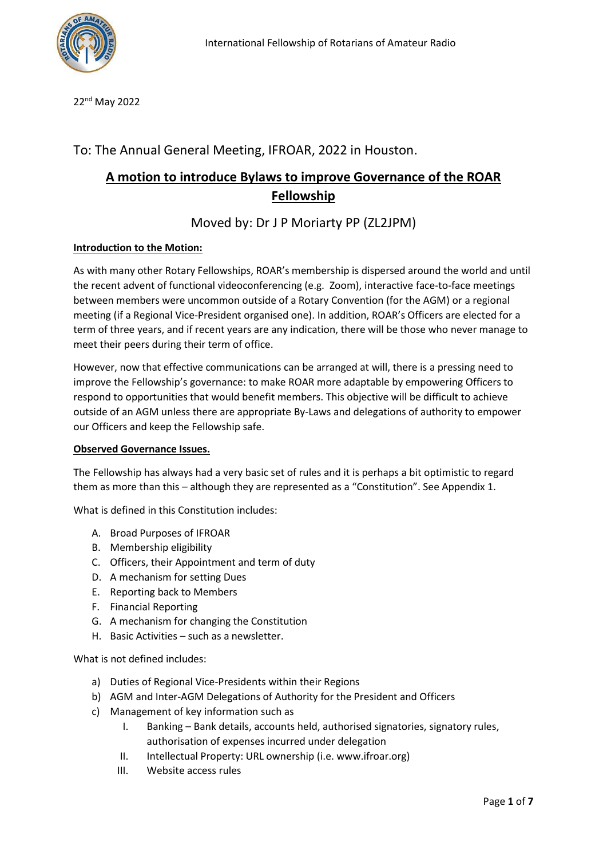

22nd May 2022

# To: The Annual General Meeting, IFROAR, 2022 in Houston.

# **A motion to introduce Bylaws to improve Governance of the ROAR Fellowship**

# Moved by: Dr J P Moriarty PP (ZL2JPM)

# **Introduction to the Motion:**

As with many other Rotary Fellowships, ROAR's membership is dispersed around the world and until the recent advent of functional videoconferencing (e.g. Zoom), interactive face-to-face meetings between members were uncommon outside of a Rotary Convention (for the AGM) or a regional meeting (if a Regional Vice-President organised one). In addition, ROAR's Officers are elected for a term of three years, and if recent years are any indication, there will be those who never manage to meet their peers during their term of office.

However, now that effective communications can be arranged at will, there is a pressing need to improve the Fellowship's governance: to make ROAR more adaptable by empowering Officers to respond to opportunities that would benefit members. This objective will be difficult to achieve outside of an AGM unless there are appropriate By-Laws and delegations of authority to empower our Officers and keep the Fellowship safe.

### **Observed Governance Issues.**

The Fellowship has always had a very basic set of rules and it is perhaps a bit optimistic to regard them as more than this – although they are represented as a "Constitution". See Appendix 1.

What is defined in this Constitution includes:

- A. Broad Purposes of IFROAR
- B. Membership eligibility
- C. Officers, their Appointment and term of duty
- D. A mechanism for setting Dues
- E. Reporting back to Members
- F. Financial Reporting
- G. A mechanism for changing the Constitution
- H. Basic Activities such as a newsletter.

What is not defined includes:

- a) Duties of Regional Vice-Presidents within their Regions
- b) AGM and Inter-AGM Delegations of Authority for the President and Officers
- c) Management of key information such as
	- I. Banking Bank details, accounts held, authorised signatories, signatory rules, authorisation of expenses incurred under delegation
	- II. Intellectual Property: URL ownership (i.e. www.ifroar.org)
	- III. Website access rules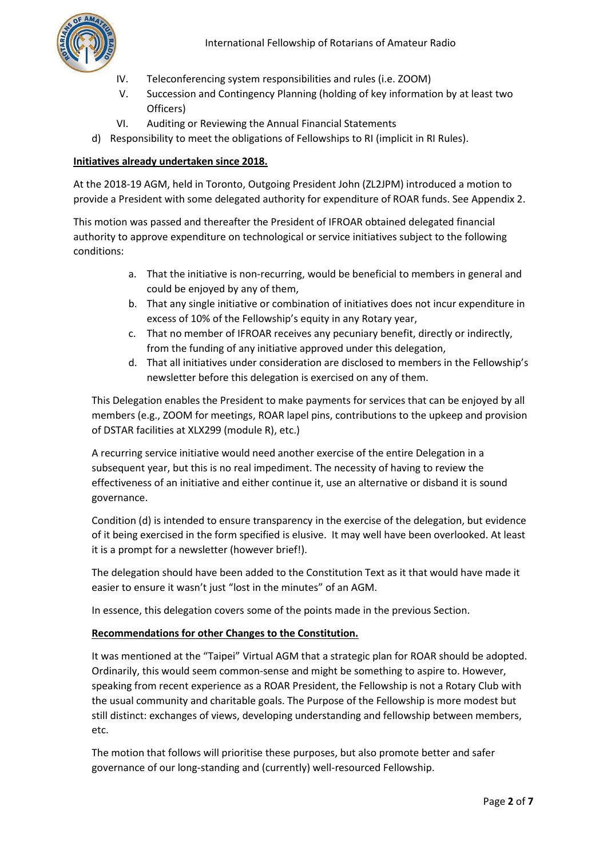- IV. Teleconferencing system responsibilities and rules (i.e. ZOOM)
- V. Succession and Contingency Planning (holding of key information by at least two Officers)
- VI. Auditing or Reviewing the Annual Financial Statements
- d) Responsibility to meet the obligations of Fellowships to RI (implicit in RI Rules).

# **Initiatives already undertaken since 2018.**

At the 2018-19 AGM, held in Toronto, Outgoing President John (ZL2JPM) introduced a motion to provide a President with some delegated authority for expenditure of ROAR funds. See Appendix 2.

This motion was passed and thereafter the President of IFROAR obtained delegated financial authority to approve expenditure on technological or service initiatives subject to the following conditions:

- a. That the initiative is non-recurring, would be beneficial to members in general and could be enjoyed by any of them,
- b. That any single initiative or combination of initiatives does not incur expenditure in excess of 10% of the Fellowship's equity in any Rotary year,
- c. That no member of IFROAR receives any pecuniary benefit, directly or indirectly, from the funding of any initiative approved under this delegation,
- d. That all initiatives under consideration are disclosed to members in the Fellowship's newsletter before this delegation is exercised on any of them.

This Delegation enables the President to make payments for services that can be enjoyed by all members (e.g., ZOOM for meetings, ROAR lapel pins, contributions to the upkeep and provision of DSTAR facilities at XLX299 (module R), etc.)

A recurring service initiative would need another exercise of the entire Delegation in a subsequent year, but this is no real impediment. The necessity of having to review the effectiveness of an initiative and either continue it, use an alternative or disband it is sound governance.

Condition (d) is intended to ensure transparency in the exercise of the delegation, but evidence of it being exercised in the form specified is elusive. It may well have been overlooked. At least it is a prompt for a newsletter (however brief!).

The delegation should have been added to the Constitution Text as it that would have made it easier to ensure it wasn't just "lost in the minutes" of an AGM.

In essence, this delegation covers some of the points made in the previous Section.

# **Recommendations for other Changes to the Constitution.**

It was mentioned at the "Taipei" Virtual AGM that a strategic plan for ROAR should be adopted. Ordinarily, this would seem common-sense and might be something to aspire to. However, speaking from recent experience as a ROAR President, the Fellowship is not a Rotary Club with the usual community and charitable goals. The Purpose of the Fellowship is more modest but still distinct: exchanges of views, developing understanding and fellowship between members, etc.

The motion that follows will prioritise these purposes, but also promote better and safer governance of our long-standing and (currently) well-resourced Fellowship.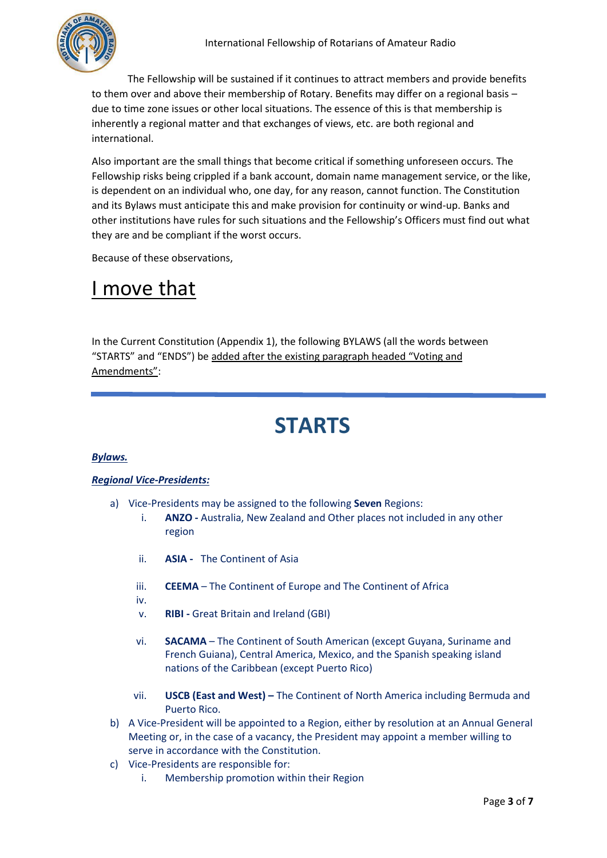

The Fellowship will be sustained if it continues to attract members and provide benefits to them over and above their membership of Rotary. Benefits may differ on a regional basis – due to time zone issues or other local situations. The essence of this is that membership is inherently a regional matter and that exchanges of views, etc. are both regional and international.

Also important are the small things that become critical if something unforeseen occurs. The Fellowship risks being crippled if a bank account, domain name management service, or the like, is dependent on an individual who, one day, for any reason, cannot function. The Constitution and its Bylaws must anticipate this and make provision for continuity or wind-up. Banks and other institutions have rules for such situations and the Fellowship's Officers must find out what they are and be compliant if the worst occurs.

Because of these observations,

# I move that

In the Current Constitution (Appendix 1), the following BYLAWS (all the words between "STARTS" and "ENDS") be added after the existing paragraph headed "Voting and Amendments":

# **STARTS**

# *Bylaws.*

# *Regional Vice-Presidents:*

- a) Vice-Presidents may be assigned to the following **Seven** Regions:
	- i. **ANZO -** Australia, New Zealand and Other places not included in any other region
	- ii. **ASIA** The Continent of Asia
	- iii. **CEEMA** The Continent of Europe and The Continent of Africa
	- iv.
	- v. **RIBI -** Great Britain and Ireland (GBI)
	- vi. **SACAMA** The Continent of South American (except Guyana, Suriname and French Guiana), Central America, Mexico, and the Spanish speaking island nations of the Caribbean (except Puerto Rico)
	- vii. **USCB (East and West) –** The Continent of North America including Bermuda and Puerto Rico.
- b) A Vice-President will be appointed to a Region, either by resolution at an Annual General Meeting or, in the case of a vacancy, the President may appoint a member willing to serve in accordance with the Constitution.
- c) Vice-Presidents are responsible for:
	- i. Membership promotion within their Region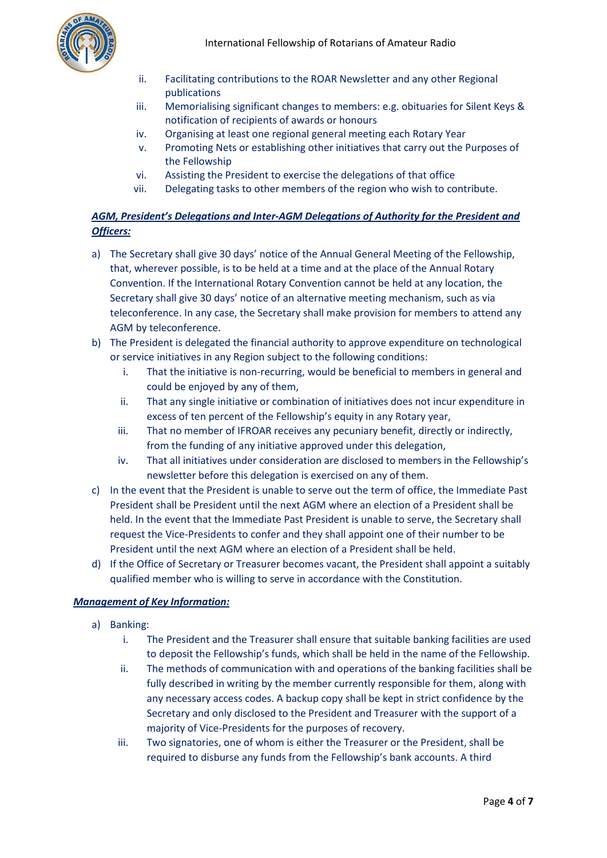

- ii. Facilitating contributions to the ROAR Newsletter and any other Regional publications
- iii. Memorialising significant changes to members: e.g. obituaries for Silent Keys & notification of recipients of awards or honours
- iv. Organising at least one regional general meeting each Rotary Year
- v. Promoting Nets or establishing other initiatives that carry out the Purposes of the Fellowship
- vi. Assisting the President to exercise the delegations of that office
- vii. Delegating tasks to other members of the region who wish to contribute.

# *AGM, President's Delegations and Inter-AGM Delegations of Authority for the President and Officers:*

- a) The Secretary shall give 30 days' notice of the Annual General Meeting of the Fellowship, that, wherever possible, is to be held at a time and at the place of the Annual Rotary Convention. If the International Rotary Convention cannot be held at any location, the Secretary shall give 30 days' notice of an alternative meeting mechanism, such as via teleconference. In any case, the Secretary shall make provision for members to attend any AGM by teleconference.
- b) The President is delegated the financial authority to approve expenditure on technological or service initiatives in any Region subject to the following conditions:
	- i. That the initiative is non-recurring, would be beneficial to members in general and could be enjoyed by any of them,
	- ii. That any single initiative or combination of initiatives does not incur expenditure in excess of ten percent of the Fellowship's equity in any Rotary year,
	- iii. That no member of IFROAR receives any pecuniary benefit, directly or indirectly, from the funding of any initiative approved under this delegation,
	- iv. That all initiatives under consideration are disclosed to members in the Fellowship's newsletter before this delegation is exercised on any of them.
- c) In the event that the President is unable to serve out the term of office, the Immediate Past President shall be President until the next AGM where an election of a President shall be held. In the event that the Immediate Past President is unable to serve, the Secretary shall request the Vice-Presidents to confer and they shall appoint one of their number to be President until the next AGM where an election of a President shall be held.
- d) If the Office of Secretary or Treasurer becomes vacant, the President shall appoint a suitably qualified member who is willing to serve in accordance with the Constitution.

# *Management of Key Information:*

- a) Banking:
	- i. The President and the Treasurer shall ensure that suitable banking facilities are used to deposit the Fellowship's funds, which shall be held in the name of the Fellowship.
	- ii. The methods of communication with and operations of the banking facilities shall be fully described in writing by the member currently responsible for them, along with any necessary access codes. A backup copy shall be kept in strict confidence by the Secretary and only disclosed to the President and Treasurer with the support of a majority of Vice-Presidents for the purposes of recovery.
	- iii. Two signatories, one of whom is either the Treasurer or the President, shall be required to disburse any funds from the Fellowship's bank accounts. A third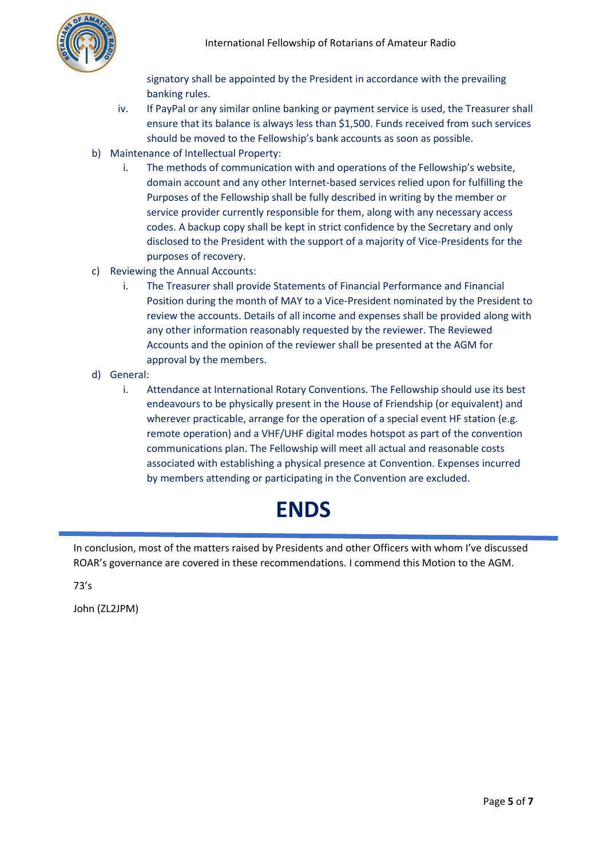

signatory shall be appointed by the President in accordance with the prevailing banking rules.

- iv. If PayPal or any similar online banking or payment service is used, the Treasurer shall ensure that its balance is always less than \$1,500. Funds received from such services should be moved to the Fellowship's bank accounts as soon as possible.
- b) Maintenance of Intellectual Property:
	- i. The methods of communication with and operations of the Fellowship's website, domain account and any other Internet-based services relied upon for fulfilling the Purposes of the Fellowship shall be fully described in writing by the member or service provider currently responsible for them, along with any necessary access codes. A backup copy shall be kept in strict confidence by the Secretary and only disclosed to the President with the support of a majority of Vice-Presidents for the purposes of recovery.
- c) Reviewing the Annual Accounts:
	- i. The Treasurer shall provide Statements of Financial Performance and Financial Position during the month of MAY to a Vice-President nominated by the President to review the accounts. Details of all income and expenses shall be provided along with any other information reasonably requested by the reviewer. The Reviewed Accounts and the opinion of the reviewer shall be presented at the AGM for approval by the members.
- d) General:
	- i. Attendance at International Rotary Conventions. The Fellowship should use its best endeavours to be physically present in the House of Friendship (or equivalent) and wherever practicable, arrange for the operation of a special event HF station (e.g. remote operation) and a VHF/UHF digital modes hotspot as part of the convention communications plan. The Fellowship will meet all actual and reasonable costs associated with establishing a physical presence at Convention. Expenses incurred by members attending or participating in the Convention are excluded.

# **ENDS**

In conclusion, most of the matters raised by Presidents and other Officers with whom I've discussed ROAR's governance are covered in these recommendations. I commend this Motion to the AGM.

73's

John (ZL2JPM)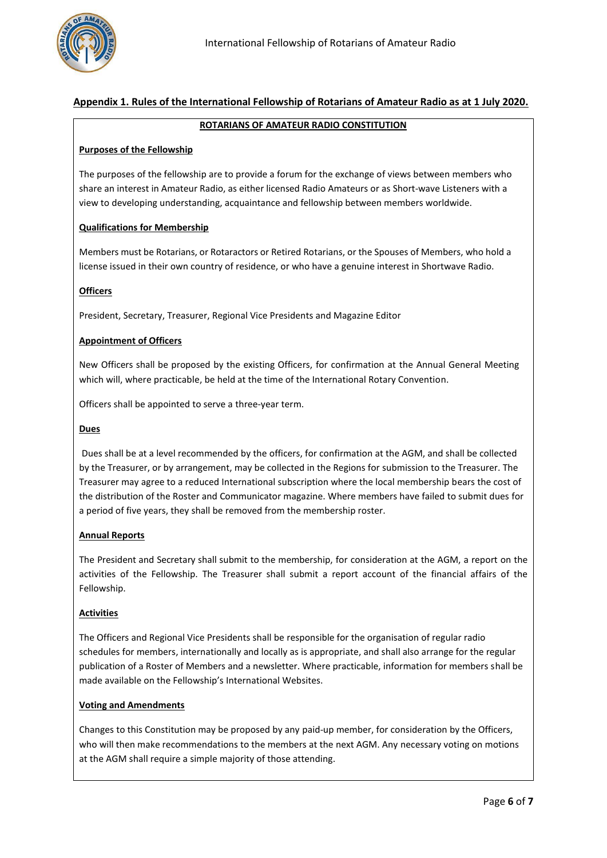

## **Appendix 1. Rules of the International Fellowship of Rotarians of Amateur Radio as at 1 July 2020.**

#### **ROTARIANS OF AMATEUR RADIO CONSTITUTION**

### **Purposes of the Fellowship**

The purposes of the fellowship are to provide a forum for the exchange of views between members who share an interest in Amateur Radio, as either licensed Radio Amateurs or as Short-wave Listeners with a view to developing understanding, acquaintance and fellowship between members worldwide.

### **Qualifications for Membership**

Members must be Rotarians, or Rotaractors or Retired Rotarians, or the Spouses of Members, who hold a license issued in their own country of residence, or who have a genuine interest in Shortwave Radio.

### **Officers**

President, Secretary, Treasurer, Regional Vice Presidents and Magazine Editor

### **Appointment of Officers**

New Officers shall be proposed by the existing Officers, for confirmation at the Annual General Meeting which will, where practicable, be held at the time of the International Rotary Convention.

Officers shall be appointed to serve a three-year term.

#### **Dues**

Dues shall be at a level recommended by the officers, for confirmation at the AGM, and shall be collected by the Treasurer, or by arrangement, may be collected in the Regions for submission to the Treasurer. The Treasurer may agree to a reduced International subscription where the local membership bears the cost of the distribution of the Roster and Communicator magazine. Where members have failed to submit dues for a period of five years, they shall be removed from the membership roster.

#### **Annual Reports**

The President and Secretary shall submit to the membership, for consideration at the AGM, a report on the activities of the Fellowship. The Treasurer shall submit a report account of the financial affairs of the Fellowship.

#### **Activities**

The Officers and Regional Vice Presidents shall be responsible for the organisation of regular radio schedules for members, internationally and locally as is appropriate, and shall also arrange for the regular publication of a Roster of Members and a newsletter. Where practicable, information for members shall be made available on the Fellowship's International Websites.

#### **Voting and Amendments**

Changes to this Constitution may be proposed by any paid-up member, for consideration by the Officers, who will then make recommendations to the members at the next AGM. Any necessary voting on motions at the AGM shall require a simple majority of those attending.